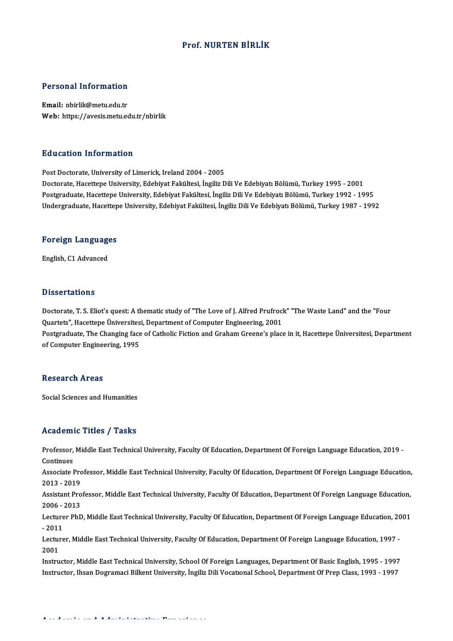### Prof.NURTEN BİRLİK

### Personal Information

Email: nbirlik@metu.edu.tr Web: https://avesis.metu.edu.tr/nbirlik

### Education Information

Post Doctorate, University of Limerick, Ireland 2004 - 2005 Doctorate, Hacettepe University, Edebiyat Fakültesi, İngiliz Dili Ve Edebiyatı Bölümü, Turkey 1995 - 2001 Postgraduate, Hacettepe University, Edebiyat Fakültesi, İngiliz Dili Ve Edebiyatı Bölümü, Turkey 1992 - 1995 Undergraduate, Hacettepe University, Edebiyat Fakültesi, İngiliz Dili Ve Edebiyatı Bölümü, Turkey 1987 - 1992

# <sub>ondergraduate, nacettep</sub><br>Foreign Languages <mark>Foreign Languag</mark>e<br>English, C1 Advanced

English, C1 Advanced<br>Dissertations

Dissertations<br>Doctorate, T. S. Eliot's quest: A thematic study of "The Love of J. Alfred Prufrock" "The Waste Land" and the "Four<br>Quartets", Hasettene Universitesi, Department of Computer Engineering, 2001 Dissourcetions<br>Doctorate, T. S. Eliot's quest: A thematic study of "The Love of J. Alfred Prufrocl<br>Quartets", Hacettepe Üniversitesi, Department of Computer Engineering, 2001<br>Bostanaduate The Changing face of Catholic Eigt Doctorate, T. S. Eliot's quest: A thematic study of "The Love of J. Alfred Prufrock" "The Waste Land" and the "Four<br>Quartets", Hacettepe Üniversitesi, Department of Computer Engineering, 2001<br>Postgraduate, The Changing fac Quartets", Hacettepe Üniversites<br>Postgraduate, The Changing face<br>of Computer Engineering, 1995 of Computer Engineering, 1995<br>Research Areas

Social Sciences and Humanities

### Academic Titles / Tasks

Academic Titles / Tasks<br>Professor, Middle East Technical University, Faculty Of Education, Department Of Foreign Language Education, 2019 -<br>Continues Professor,<br>Continues<br>Associate L Professor, Middle East Technical University, Faculty Of Education, Department Of Foreign Language Education, 2019 -<br>Continues<br>Associate Professor, Middle East Technical University, Faculty Of Education, Department Of Forei

Continues<br>Associate Pro<br>2013 - 2019<br>Assistant Pro Associate Professor, Middle East Technical University, Faculty Of Education, Department Of Foreign Language Education,<br>2013 - 2019<br>Assistant Professor, Middle East Technical University, Faculty Of Education, Department Of

2013 - 2019<br>Assistant Pro<br>2006 - 2013<br>Lecturer PhD Assistant Professor, Middle East Technical University, Faculty Of Education, Department Of Foreign Language Education,<br>2006 - 2013<br>Lecturer PhD, Middle East Technical University, Faculty Of Education, Department Of Foreign

2006 - 2013<br>Lecturer PhD, Middle East Technical University, Faculty Of Education, Department Of Foreign Language Education, 2001<br>- 2011 Lecturer PhD, Middle East Technical University, Faculty Of Education, Department Of Foreign Language Education, 20<br>- 2011<br>Lecturer, Middle East Technical University, Faculty Of Education, Department Of Foreign Language Edu

- 2011<br>Lectur<br>2001<br>Instru Lecturer, Middle East Technical University, Faculty Of Education, Department Of Foreign Language Education, 1997<br>2001<br>Instructor, Middle East Technical University, School Of Foreign Languages, Department Of Basic English,

2001<br>Instructor, Middle East Technical University, School Of Foreign Languages, Department Of Basic English, 1995 - 1997<br>Instructor, Ihsan Dogramaci Bilkent University, İngiliz Dili Vocatıonal School, Department Of Prep Cl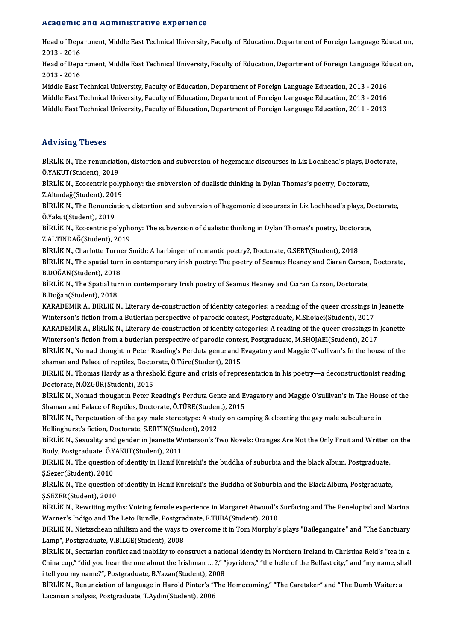### Academic and Administrative Experience

A**cademic and Administrative Experience**<br>Head of Department, Middle East Technical University, Faculty of Education, Department of Foreign Language Education,<br>2013 - 2016 2013 -2016 Head of Department, Middle East Technical University, Faculty of Education, Department of Foreign Language Education,<br>2013 - 2016<br>Head of Department, Middle East Technical University, Faculty of Education, Department of Fo

2013 - 2016<br>Head of Department, Middle East Technical University, Faculty of Education, Department of Foreign Language Education,<br>2013 - 2016 Head of Department, Middle East Technical University, Faculty of Education, Department of Foreign Language Ed<br>2013 - 2016<br>Middle East Technical University, Faculty of Education, Department of Foreign Language Education, 20

2013 - 2016<br>Middle East Technical University, Faculty of Education, Department of Foreign Language Education, 2013 - 2016<br>Middle East Technical University, Faculty of Education, Department of Foreign Language Education, 20 Middle East Technical University, Faculty of Education, Department of Foreign Language Education, 2013 - 2016<br>Middle East Technical University, Faculty of Education, Department of Foreign Language Education, 2013 - 2016<br>Mi Middle East Technical University, Faculty of Education, Department of Foreign Language Education, 2011 - 2013<br>Advising Theses

Advising Theses<br>BİRLİK N., The renunciation, distortion and subversion of hegemonic discourses in Liz Lochhead's plays, Doctorate,<br>Ö.VAKUT(Student), 2019 EXA VISING INTERES<br>BİRLİK N., The renunciatio<br>Ö.YAKUT(Student), 2019<br>PİRLİK N. Essentris poli BİRLİK N., The renunciation, distortion and subversion of hegemonic discourses in Liz Lochhead's plays, D<br>Ö.YAKUT(Student), 2019<br>BİRLİK N., Ecocentric polyphony: the subversion of dualistic thinking in Dylan Thomas's poetr

Ö.YAKUT(Student), 2019<br>BİRLİK N., Ecocentric polyphony: the subversion of dualistic thinking in Dylan Thomas's poetry, Doctorate,<br>Z.Altındağ(Student), 2019 BİRLİK N., Ecocentric polyphony: the subversion of dualistic thinking in Dylan Thomas's poetry, Doctorate,<br>Z.Altındağ(Student), 2019<br>BİRLİK N., The Renunciation, distortion and subversion of hegemonic discourses in Liz Loc

Z.Altındağ(Student), 201<br>BİRLİK N., The Renuncia<br>Ö.Yakut(Student), 2019<br>PİRLİK N. Feosontris no BİRLİK N., The Renunciation, distortion and subversion of hegemonic discourses in Liz Lochhead's plays, Do<br>Ö.Yakut(Student), 2019<br>BİRLİK N., Ecocentric polyphony: The subversion of dualistic thinking in Dylan Thomas's poet

Ö.Yakut(Student), 2019<br>BİRLİK N., Ecocentric polypho<br>Z.ALTINDAĞ(Student), 2019<br>PİRLİK N. Charletta Turnar S BİRLİK N., Ecocentric polyphony: The subversion of dualistic thinking in Dylan Thomas's poetry, Doctor<br>Z.ALTINDAĞ(Student), 2019<br>BİRLİK N., Charlotte Turner Smith: A harbinger of romantic poetry?, Doctorate, G.SERT(Student

Z.ALTINDAĞ(Student), 2019<br>BİRLİK N., Charlotte Turner Smith: A harbinger of romantic poetry?, Doctorate, G.SERT(Student), 2018<br>BİRLİK N., The spatial turn in contemporary irish poetry: The poetry of Seamus Heaney and Ciara BİRLİK N., Charlotte Turne<br>BİRLİK N., The spatial turn<br>B.DOĞAN(Student), 2018<br>PİRLİK N., The Spatial turn BİRLİK N., The spatial turn in contemporary irish poetry: The poetry of Seamus Heaney and Ciaran Carson<br>B.DOĞAN(Student), 2018<br>BİRLİK N., The Spatial turn in contemporary Irish poetry of Seamus Heaney and Ciaran Carson, Do

B.DOĞAN(Student), 2018<br>BİRLİK N., The Spatial turn in contemporary Irish poetry of Seamus Heaney and Ciaran Carson, Doctorate,<br>B.Doğan(Student), 2018 BİRLİK N., The Spatial turn in contemporary Irish poetry of Seamus Heaney and Ciaran Carson, Doctorate,<br>B.Doğan(Student), 2018<br>KARADEMİR A., BİRLİK N., Literary de-construction of identity categories: a reading of the quee

B.Doğan(Student), 2018<br>KARADEMİR A., BİRLİK N., Literary de-construction of identity categories: a reading of the queer crossings in<br>Winterson's fiction from a Butlerian perspective of parodic contest, Postgraduate, M.Shoj KARADEMİR A., BİRLİK N., Literary de-construction of identity categories: a reading of the queer crossings in Jeanette<br>Winterson's fiction from a Butlerian perspective of parodic contest, Postgraduate, M.Shojaei(Student),

Winterson's fiction from a Butlerian perspective of parodic contest, Postgraduate, M.Shojaei(Student), 2017<br>KARADEMİR A., BİRLİK N., Literary de-construction of identity categories: A reading of the queer crossings in<br>Wint Winterson's fiction from a butlerian perspective of parodic contest, Postgraduate, M.SHOJAEI(Student), 2017<br>BİRLİK N., Nomad thought in Peter Reading's Perduta gente and Evagatory and Maggie O'sullivan's In the house of th

Winterson's fiction from a butlerian perspective of parodic contenting<br>BİRLİK N., Nomad thought in Peter Reading's Perduta gente and I<br>shaman and Palace of reptiles, Doctorate, Ö.Türe(Student), 2015<br>PİPLİK N., Thomas Hardy

BİRLİK N., Thomas Hardy as a threshold figure and crisis of representation in his poetry—a deconstructionist reading,<br>Doctorate, N.ÖZGÜR(Student), 2015 Shaman and Palace of reptiles, Docto<br>BİRLİK N., Thomas Hardy as a thresh<br>Doctorate, N.ÖZGÜR(Student), 2015<br>PİPLİK N. Nomad thought in Batar B BİRLİK N., Thomas Hardy as a threshold figure and crisis of representation in his poetry—a deconstructionist reading,<br>Doctorate, N.ÖZGÜR(Student), 2015<br>BİRLİK N., Nomad thought in Peter Reading's Perduta Gente and Evagator

Doctorate, N.ÖZGÜR(Student), 2015<br>BİRLİK N., Nomad thought in Peter Reading's Perduta Gente and Ey<br>Shaman and Palace of Reptiles, Doctorate, Ö.TÜRE(Student), 2015<br>PİRLİK N. Reppetustion of the gau male starsetune: A study BİRLİK N., Nomad thought in Peter Reading's Perduta Gente and Evagatory and Maggie O'sullivan's in The Hous<br>Shaman and Palace of Reptiles, Doctorate, Ö.TÜRE(Student), 2015<br>BİRLİK N., Perpetuation of the gay male stereotype

Shaman and Palace of Reptiles, Doctorate, Ö.TÜRE(Studen<br>BİRLİK N., Perpetuation of the gay male stereotype: A student), 2012<br>Hollinghurst's fiction, Doctorate, S.ERTİN(Student), 2012<br>PİRLİK N. Sovuality and gandar in Jeane

BİRLİK N., Perpetuation of the gay male stereotype: A study on camping & closeting the gay male subculture in<br>Hollinghurst's fiction, Doctorate, S.ERTİN(Student), 2012<br>BİRLİK N., Sexuality and gender in Jeanette Winterson' Hollinghurst's fiction, Doctorate, S.ERTİN(Stud<br>BİRLİK N., Sexuality and gender in Jeanette Wi<br>Body, Postgraduate, Ö.YAKUT(Student), 2011<br>PİRLİK N., The question of identity in Honif Ku BİRLİK N., Sexuality and gender in Jeanette Winterson's Two Novels: Oranges Are Not the Only Fruit and Written<br>Body, Postgraduate, Ö.YAKUT(Student), 2011<br>BİRLİK N., The question of identity in Hanif Kureishi's the buddha o

Body, Postgraduate, Ö.Y<br>BİRLİK N., The question<br>Ş.Sezer(Student), 2010<br>PİRLİK N., The question BİRLİK N., The question of identity in Hanif Kureishi's the buddha of suburbia and the black album, Postgraduate,<br>Ş.Sezer(Student), 2010<br>BİRLİK N., The question of identity in Hanif Kureishi's the Buddha of Suburbia and th

Ş.Sezer(Student), 2010<br>BİRLİK N., The question of identity in Hanif Kureishi's the Buddha of Suburbia and the Black Album, Postgraduate,<br>Ş.SEZER(Student), 2010 BİRLİK N., The question of identity in Hanif Kureishi's the Buddha of Suburbia and the Black Album, Postgraduate,<br>Ş.SEZER(Student), 2010<br>BİRLİK N., Rewriting myths: Voicing female experience in Margaret Atwood's Surfacing

\$.SEZER(Student), 2010<br>BİRLİK N., Rewriting myths: Voicing female experience in Margaret Atwood's<br>Warner's Indigo and The Leto Bundle, Postgraduate, F.TUBA(Student), 2010<br>PİRLİK N. Nietrschean nihilism and the vavs to over BİRLİK N., Rewriting myths: Voicing female experience in Margaret Atwood's Surfacing and The Penelopiad and Marina<br>Warner's Indigo and The Leto Bundle, Postgraduate, F.TUBA(Student), 2010<br>BİRLİK N., Nietzschean nihilism an

Warner's Indigo and The Leto Bundle, Postgraduate, F.TUBA(Student), 2010<br>BİRLİK N., Nietzschean nihilism and the ways to overcome it in Tom Murphy's plays "Bailegangaire" and "The Sanctuary<br>Lamp", Postgraduate, V.BİLGE(Stu BİRLİK N., Nietzschean nihilism and the ways to overcome it in Tom Murphy's plays "Bailegangaire" and "The Sanctuary<br>Lamp", Postgraduate, V.BİLGE(Student), 2008<br>BİRLİK N., Sectarian conflict and inability to construct a na

Lamp", Postgraduate, V.BİLGE(Student), 2008<br>BİRLİK N., Sectarian conflict and inability to construct a national identity in Northern Ireland in Christina Reid's "tea in a<br>China cup," "did you hear the one about the Irishma BİRLİK N., Sectarian conflict and inability to construct a national china cup," "did you hear the one about the Irishman ... ?," "<br>i tell you my name?", Postgraduate, B.Yazan(Student), 2008<br>Pini ik N. Bonungiation of langu China cup," "did you hear the one about the Irishman … ?," "joyriders," "the belle of the Belfast city," and "my name, sh<br>i tell you my name?", Postgraduate, B.Yazan(Student), 2008<br>BİRLİK N., Renunciation of language in Ha

i tell you my name?", Postgraduate, B.Yazan(Student), 2008<br>BİRLİK N., Renunciation of language in Harold Pinter's "The Homecoming," "The Caretaker" and "The Dumb Waiter: a<br>Lacanian analysis, Postgraduate, T.Aydın(Student),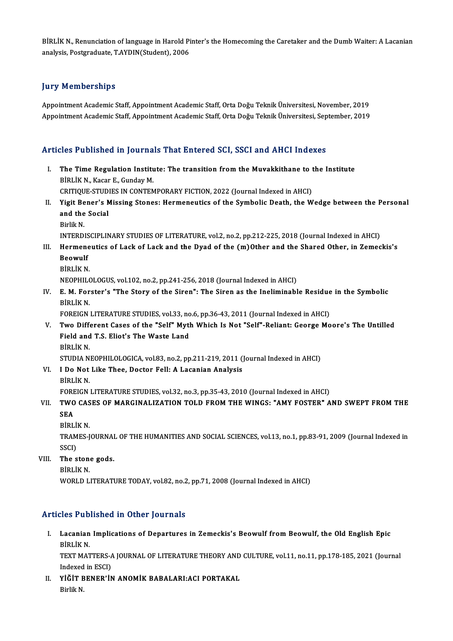BİRLİK N., Renunciation of language in Harold Pinter's the Homecoming the Caretaker and the Dumb Waiter: A Lacanian<br>Analysis Pestanadusta T AVDIN(Student), 2006 BİRLİK N., Renunciation of language in Harold Pi<br>analysis, Postgraduate, T.AYDIN(Student), 2006 analysis, Postgraduate, T.AYDIN(Student), 2006<br>Jury Memberships

Appointment Academic Staff, Appointment Academic Staff, Orta Doğu Teknik Üniversitesi, November, 2019 Appointment Academic Staff, Appointment Academic Staff, Orta Doğu Teknik Üniversitesi, September, 2019

# Appointment Academic Starl, Appointment Academic Starl, Orta Dogu Teknik Universitesi, Sep<br>Articles Published in Journals That Entered SCI, SSCI and AHCI Indexes

- rticles Published in Journals That Entered SCI, SSCI and AHCI Indexes<br>I. The Time Regulation Institute: The transition from the Muvakkithane to the Institute<br>PRILLY N. Kasar E. Gunday M. The Time Regulation Institution<br>BİRLİK N., Kacar E., Gunday M.<br>CRITIQUE STUDIES IN CONTEN The Time Regulation Institute: The transition from the Muvakkithane to t<br>BİRLİK N., Kacar E., Gunday M.<br>CRITIQUE-STUDIES IN CONTEMPORARY FICTION, 2022 (Journal Indexed in AHCI)<br>Visit Bener's Missing Stanes: Hormonouties of
- BİRLİK N., Kacar E., Gunday M.<br>CRITIQUE-STUDIES IN CONTEMPORARY FICTION, 2022 (Journal Indexed in AHCI)<br>II. Yigit Bener's Missing Stones: Hermeneutics of the Symbolic Death, the Wedge between the Personal<br>and the Secie CRITIQUE-STUDIES IN CONTEMPORARY FICTION, 2022 (Journal Indexed in AHCI)<br>Yigit Bener's Missing Stones: Hermeneutics of the Symbolic Death, the W<br>and the Social<br>Birlik N. **Yigit Be<br>and the<br>Birlik N.**<br>INTERD and the Social<br>Birlik N.<br>INTERDISCIPLINARY STUDIES OF LITERATURE, vol.2, no.2, pp.212-225, 2018 (Journal Indexed in AHCI)<br>Harmanautics of Lask of Lask and the Duad of the (m)Other and the Shared Other, in Zemes
	-

- Birlik N.<br>INTERDISCIPLINARY STUDIES OF LITERATURE, vol.2, no.2, pp.212-225, 2018 (Journal Indexed in AHCI)<br>III. Hermeneutics of Lack of Lack and the Dyad of the (m)Other and the Shared Other, in Zemeckis's<br>Beowylf **INTERDIS<br>Hermene<br>Beowulf**<br>Pipt iv N Hermene<br>Beowulf<br>BİRLİK N.<br>NEOPHU G Beowulf<br>BİRLİK N.<br>NEOPHILOLOGUS, vol.102, no.2, pp.241-256, 2018 (Journal Indexed in AHCI)<br>E. M. Forstar's "The Stary of the Sirep": The Sirep as the Ingliminabl
	-

- BİRLİK N.<br>NEOPHILOLOGUS, vol.102, no.2, pp.241-256, 2018 (Journal Indexed in AHCI)<br>IV. E. M. Forster's "The Story of the Siren": The Siren as the Ineliminable Residue in the Symbolic<br>Pipi iy N NEOPHILO<br>**E. M. For**<br>BİRLİK N.<br>FOREICN. E. M. Forster's "The Story of the Siren": The Siren as the Ineliminable Residue<br>BİRLİK N.<br>FOREIGN LITERATURE STUDIES, vol.33, no.6, pp.36-43, 2011 (Journal Indexed in AHCI)<br>Ture Different Cases of the "Self" Muth Which Is
	-
- BİRLİK N.<br>FOREIGN LITERATURE STUDIES, vol.33, no.6, pp.36-43, 2011 (Journal Indexed in AHCI)<br>V. Two Different Cases of the "Self" Myth Which Is Not "Self"-Reliant: George Moore's The Untilled<br>Field and T.S. Fliet's The FOREIGN LITERATURE STUDIES, vol.33, no<br>Two Different Cases of the "Self" Myth<br>Field and T.S. Eliot's The Waste Land<br>Pipl iv N Two Diff<br>Field and<br>BİRLİK N.<br>STUDIA N. Field and T.S. Eliot's The Waste Land<br>BİRLİK N.<br>STUDIA NEOPHILOLOGICA, vol.83, no.2, pp.211-219, 2011 (Journal Indexed in AHCI) BİRLİK N.<br>STUDIA NEOPHILOLOGICA, vol.83, no.2, pp.211-219, 2011 (<br>VI. I Do Not Like Thee, Doctor Fell: A Lacanian Analysis<br>Pipi İk N

STUDIA NE<br>I Do Not<br>BİRLİK N. BIRLIK N.<br>FOREIGN LITERATURE STUDIES, vol.32, no.3, pp.35-43, 2010 (Journal Indexed in AHCI) BİRLİK N.<br>FOREIGN LITERATURE STUDIES, vol.32, no.3, pp.35-43, 2010 (Journal Indexed in AHCI)<br>VII. TWO CASES OF MARGINALIZATION TOLD FROM THE WINGS: "AMY FOSTER" AND SWEPT FROM THE<br>SEA

# FORE<br>TWO<br>SEA<br>Pipi **TWO CAS<br>SEA<br>BİRLİK N.<br>TRAMES I**

- 
- 

SEA<br>BİRLİK N.<br>TRAMES-JOURNAL OF THE HUMANITIES AND SOCIAL SCIENCES, vol.13, no.1, pp.83-91, 2009 (Journal Indexed in<br>SSCD BİRLİ<br>TRAM<br>SSCI)<br>The S TRAMES-JOURNAL<br>SSCI)<br>VIII. The stone gods.<br>PRLIV N SSCI)<br>The ston<br>BİRLİK N.<br>WORLD L

BİRLİK N.<br>WORLD LITERATURE TODAY, vol.82, no.2, pp.71, 2008 (Journal Indexed in AHCI)

### Articles Published in Other Journals

rticles Published in Other Journals<br>I. Lacanian Implications of Departures in Zemeckis's Beowulf from Beowulf, the Old English Epic<br>Riputy N LICS I UB<br>Lacanian<br>BİRLİK N. Lacanian Implications of Departures in Zemeckis's Beowulf from Beowulf, the Old English Epic<br>BİRLİK N.<br>TEXT MATTERS-A JOURNAL OF LITERATURE THEORY AND CULTURE, vol.11, no.11, pp.178-185, 2021 (Journal<br>Indeved in ESCI)

BİRLİK N.<br>TEXT MATTERS-A<br>Indexed in ESCI)<br>vičir penepin TEXT MATTERS-A JOURNAL OF LITERATURE THEORY AND<br>Indexed in ESCI)<br>II. YİĞİT BENER'İN ANOMİK BABALARI:ACI PORTAKAL<br>Pirlik N

Indexed<br>Y<mark>İĞİT</mark> B<br>Birlik N.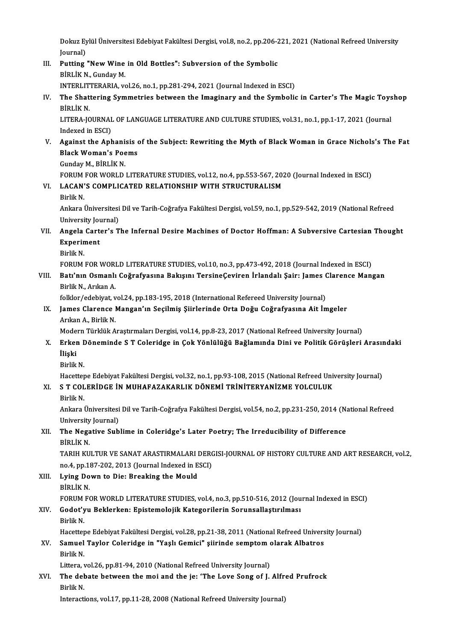Dokuz Eylül Üniversitesi Edebiyat Fakültesi Dergisi, vol.8, no.2, pp.206-221, 2021 (National Refreed University<br>Iournal) Dokuz Ey<br>Journal)<br>Putting Dokuz Eylül Üniversitesi Edebiyat Fakültesi Dergisi, vol.8, no.2, pp.206-2<br>Journal)<br>III. Putting "New Wine in Old Bottles": Subversion of the Symbolic<br>PIPLIK N. Gunday M.

Journal)<br>III. Putting "New Wine in Old Bottles": Subversion of the Symbolic<br>BİRLİK N., Gunday M. Putting "New Wine in Old Bottles": Subversion of the Symbolic<br>BİRLİK N., Gunday M.<br>INTERLITTERARIA, vol.26, no.1, pp.281-294, 2021 (Journal Indexed in ESCI)<br>The Shattering Symmotries between the Imaginary and the Symbolic

BİRLİK N., Gunday M.<br>INTERLITTERARIA, vol.26, no.1, pp.281-294, 2021 (Journal Indexed in ESCI)<br>IV. The Shattering Symmetries between the Imaginary and the Symbolic in Carter's The Magic Toyshop<br>Pipt iy N INTERLIT<br>The Shat<br>BİRLİK N. The Shattering Symmetries between the Imaginary and the Symbolic in Carter's The Magic Toys<br>BİRLİK N.<br>LITERA-JOURNAL OF LANGUAGE LITERATURE AND CULTURE STUDIES, vol.31, no.1, pp.1-17, 2021 (Journal<br>Indoved in ESCL

BİRLİK N.<br>LITERA-JOURNAL OF LANGUAGE LITERATURE AND CULTURE STUDIES, vol.31, no.1, pp.1-17, 2021 (Journal<br>Indexed in ESCI) LITERA-JOURNAL OF LANGUAGE LITERATURE AND CULTURE STUDIES, vol.31, no.1, pp.1-17, 2021 (Journal<br>Indexed in ESCI)<br>V. Against the Aphanisis of the Subject: Rewriting the Myth of Black Woman in Grace Nichols's The Fat<br>Plack W

Indexed in ESCI)<br>Against the Aphanisis<br>Black Woman's Poems<br>Cunday M. Pipi iv N **Against the Aphani:<br>Black Woman's Poe<br>Gunday M., BİRLİK N.<br>FORUM FOR WORL D.** Black Woman's Poems<br>Gunday M., BİRLİK N.<br>FORUM FOR WORLD LITERATURE STUDIES, vol.12, no.4, pp.553-567, 2020 (Journal Indexed in ESCI)<br>LAGAN'S COMBLICATED PELATIONSHIP WITH STRUCTURALISM

- Gunday M., BİRLİK N.<br>FORUM FOR WORLD LITERATURE STUDIES, vol.12, no.4, pp.553-567, 202<br>VI. LACAN'S COMPLICATED RELATIONSHIP WITH STRUCTURALISM FORUM<br>**LACAN'**<br>Birlik N.
	-

LACAN'S COMPLICATED RELATIONSHIP WITH STRUCTURALISM<br>Birlik N.<br>Ankara Üniversitesi Dil ve Tarih-Coğrafya Fakültesi Dergisi, vol.59, no.1, pp.529-542, 2019 (National Refreed<br>University Journal) Birlik N.<br>Ankara Üniversitesi<br>University Journal)<br>Angela Cantarla T Ankara Üniversitesi Dil ve Tarih-Coğrafya Fakültesi Dergisi, vol.59, no.1, pp.529-542, 2019 (National Refreed<br>University Journal)<br>VII. Angela Carter's The Infernal Desire Machines of Doctor Hoffman: A Subversive Cartes

- University Journal)<br>Angela Carter's T<br>Experiment<br>Birlik N. Angela<br>Experin<br>Birlik N.<br>EOPUM Experiment<br>Birlik N.<br>FORUM FOR WORLD LITERATURE STUDIES, vol.10, no.3, pp.473-492, 2018 (Journal Indexed in ESCI)<br>Bati'nın Osmanlı Coğrafyasına Bakısını TersineCeviren İrlandalı Sairı James Clarence Manı
	-

VIII. Batı'nın Osmanlı Coğrafyasına Bakışını TersineÇeviren İrlandalı Şair: James Clarence Mangan<br>Birlik N., Arıkan A. FORUM FOR WORI<br><mark>Batı'nın Osmanlı</mark><br>Birlik N., Arıkan A.<br>folklor/edebiyat v Batı'nın Osmanlı Coğrafyasına Bakışını TersineÇeviren İrlandalı Şair: James (<br>Birlik N., Arıkan A.<br>folklor/edebiyat, vol.24, pp.183-195, 2018 (International Refereed University Journal)<br>James Clarense Mangan'ın Sesilmiş Si

IX. James Clarence Mangan'ın Seçilmiş Şiirlerinde Orta Doğu Coğrafyasına Ait İmgeler<br>Arıkan A., Birlik N. folklor/edebiyat, v<br>James Clarence I<br>Arıkan A., Birlik N.<br>Modern Türklük A

Modern Türklük Araştırmaları Dergisi, vol.14, pp.8-23, 2017 (National Refreed University Journal)

- Arıkan A., Birlik N.<br>Modern Türklük Araştırmaları Dergisi, vol.14, pp.8-23, 2017 (National Refreed University Journal)<br>X. Erken Döneminde S T Coleridge in Çok Yönlülüğü Bağlamında Dini ve Politik Görüşleri Arasındaki<br>İ İlişki<br>Birlik N <mark>Erken I</mark><br>İlişki<br>Birlik N.
	-

Hacettepe Edebiyat Fakültesi Dergisi, vol.32, no.1, pp.93-108, 2015 (National Refreed University Journal)

# Birlik N.<br>Hacettepe Edebiyat Fakültesi Dergisi, vol.32, no.1, pp.93-108, 2015 (National Refreed Unix<br>XI. S T COLERİDGE İN MUHAFAZAKARLIK DÖNEMİ TRİNİTERYANİZME YOLCULUK<br>Birlik N Hacettep<br>S T COL<br>Birlik N.

S T COLERİDGE İN MUHAFAZAKARLIK DÖNEMİ TRİNİTERYANİZME YOLCULUK<br>Birlik N.<br>Ankara Üniversitesi Dil ve Tarih-Coğrafya Fakültesi Dergisi, vol.54, no.2, pp.231-250, 2014 (National Refreed<br>University Journal) Birlik N.<br>Ankara Üniversitesi<br>University Journal)<br>The Negative Sub Ankara Üniversitesi Dil ve Tarih-Coğrafya Fakültesi Dergisi, vol.54, no.2, pp.231-250, 2014 (National)<br>University Journal)<br>XII. The Negative Sublime in Coleridge's Later Poetry; The Irreducibility of Difference

# University Journal)<br>XII. The Negative Sublime in Coleridge's Later Poetry; The Irreducibility of Difference<br>BİRLİKN. The Negative Sublime in Coleridge's Later Poetry; The Irreducibility of Difference<br>BİRLİK N.<br>TARIH KULTUR VE SANAT ARASTIRMALARI DERGISI-JOURNAL OF HISTORY CULTURE AND ART RESEARCH, vol.2,<br>no.4, nn.197,202,2013 (Journal In

BİRLİK N.<br>TARIH KULTUR VE SANAT ARASTIRMALARI DERC<br>no.4, pp.187-202, 2013 (Journal Indexed in ESCI)<br>Lying Down to Dia: Breaking the Mould TARIH KULTUR VE SANAT ARASTIRMALARI I<br>no.4, pp.187-202, 2013 (Journal Indexed in E<br>XIII. Lying Down to Die: Breaking the Mould

# no.4, pp.187-202, 2013 (Journal Indexed in ESCI)<br>XIII. Lying Down to Die: Breaking the Mould<br>BİRLİK N.

Lying Down to Die: Breaking the Mould<br>BİRLİK N.<br>FORUM FOR WORLD LITERATURE STUDIES, vol.4, no.3, pp.510-516, 2012 (Journal Indexed in ESCI)<br>Codot'un Beklerken: Enistemelejik Kategorilerin Sonungellestrulmes;

# XIV. Godot'yu Beklerken: Epistemolojik Kategorilerin Sorunsallaştırılması<br>Birlik N. FORUM<br>Godot'y<br>Birlik N.

Hacettepe Edebiyat Fakültesi Dergisi, vol.28, pp.21-38, 2011 (National Refreed University Journal)

# Birlik N.<br>Hacettepe Edebiyat Fakültesi Dergisi, vol.28, pp.21-38, 2011 (National Refreed Univers<br>XV. Samuel Taylor Coleridge in "Yaşlı Gemici" şiirinde semptom olarak Albatros<br>Rirlik N Hacettep<br>S<mark>amuel</mark><br>Birlik N. Samuel Taylor Coleridge in "Yaşlı Gemici" şiirinde semptom o<br>Birlik N.<br>Littera, vol.26, pp.81-94, 2010 (National Refreed University Journal)<br>The debate between the mei and the jeu 'The Love Seng of L

Littera, vol.26, pp.81-94, 2010 (National Refreed University Journal)

# Birlik N.<br>Littera, vol.26, pp.81-94, 2010 (National Refreed University Journal)<br>XVI. The debate between the moi and the je: 'The Love Song of J. Alfred Prufrock<br>Birlik N.

Interactions, vol.17, pp.11-28, 2008 (National Refreed University Journal)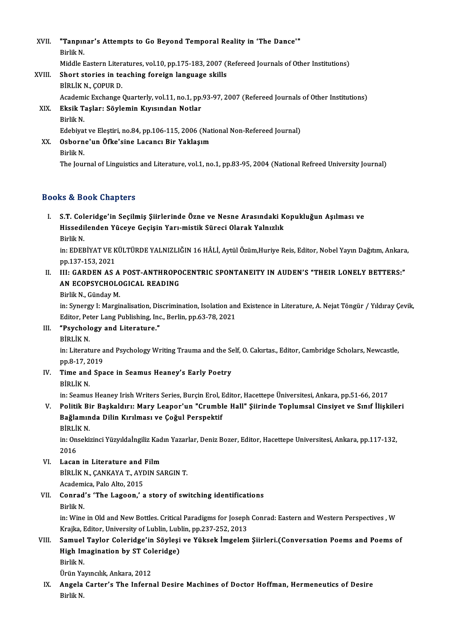XVII. "Tanpınar's Attempts to Go Beyond Temporal Reality in 'The Dance'"<br>Rivlik N "Tanpın<br>Birlik N.<br>Middle E Birlik N.<br>Middle Eastern Literatures, vol.10, pp.175-183, 2007 (Refereed Journals of Other Institutions) Birlik N.<br>Middle Eastern Literatures, vol.10, pp.175-183, 2007 (I<br>XVIII. Short stories in teaching foreign language skills<br>Rini iv N. COPUP D. Middle Eastern Liter<br>Short stories in te<br>BİRLİK N., ÇOPUR D.<br>Academis Exchange BİRLİK N., ÇOPUR D.<br>Academic Exchange Quarterly, vol.11, no.1, pp.93-97, 2007 (Refereed Journals of Other Institutions) BİRLİK N., ÇOPUR D.<br>Academic Exchange Quarterly, vol.11, no.1, pp.<br>XIX. Eksik Taşlar: Söylemin Kıyısından Notlar

# Academi<br><mark>Eksik T</mark><br>Birlik N.<br>Edebiyai Eksik Taşlar: Söylemin Kıyısından Notlar<br>Birlik N.<br>Edebiyat ve Eleştiri, no.84, pp.106-115, 2006 (National Non-Refereed Journal)<br>Osbarna'un Öfke'sine Lasansı Bir Vaklasım Birlik N.<br>Edebiyat ve Eleştiri, no.84, pp.106-115, 2006 (Na<br>XX. Osborne'un Öfke'sine Lacancı Bir Yaklaşım<br>Rirlik N

Edebiyat<br>Osborn<br>Birlik N.<br>The Jour

The Journal of Linguistics and Literature, vol.1, no.1, pp.83-95, 2004 (National Refreed University Journal)

## Books&Book Chapters

I. S.T. Coleridge'in Seçilmiş Şiirlerinde Özne ve Nesne Arasındaki Kopukluğun Aşılması ve is & Book Ghapters<br>S.T. Coleridge'in Seçilmiş Şiirlerinde Özne ve Nesne Arasındaki K<br>Hissedilenden Yüceye Geçişin Yarı-mistik Süreci Olarak Yalnızlık S<mark>.T. Col</mark><br>Hissedi<br>Birlik N.<br>in: EDEE

Hissedilenden Yüceye Geçişin Yarı-mistik Süreci Olarak Yalnızlık<br>Birlik N.<br>in: EDEBİYAT VE KÜLTÜRDE YALNIZLIĞIN 16 HÂLİ, Aytül Özüm,Huriye Reis, Editor, Nobel Yayın Dağıtım, Ankara,<br>nn 137 153 2021 Birlik N.<br>in: EDEBİYAT VE K<br>pp.137-153, 2021<br>III. GABDEN AS In: EDEBİYAT VE KÜLTÜRDE YALNIZLIĞIN 16 HÂLİ, Aytül Özüm,Huriye Reis, Editor, Nobel Yayın Dağıtım, Ankara<br>11. III: GARDEN AS A POST-ANTHROPOCENTRIC SPONTANEITY IN AUDEN'S "THEIR LONELY BETTERS:"<br>AN ECORSYCHOLOGICAL BEADING

## pp.137-153, 2021<br>III: GARDEN AS A POST-ANTHROPO<br>AN ECOPSYCHOLOGICAL READING<br>Pirlik N. Gündav M III: GARDEN AS A<br>AN ECOPSYCHOLO<br>Birlik N., Günday M.<br>in: Synorgy I. Morgi AN ECOPSYCHOLOGICAL READING<br>Birlik N., Günday M.<br>in: Synergy I: Marginalisation, Discrimination, Isolation and Existence in Literature, A. Nejat Töngür / Yıldıray Cevik,

Editor, Peter Lang Publishing, Inc., Berlin, pp.63-78, 2021 in: Synergy I: Marginalisation, Dis<br>Editor, Peter Lang Publishing, Inc<br>III. "Psychology and Literature." Editor, Pet<br>"Psycholo"<br>BİRLİK N.<br>in: Literati

"Psychology and Literature."<br>BİRLİK N.<br>in: Literature and Psychology Writing Trauma and the Self, O. Cakırtas., Editor, Cambridge Scholars, Newcastle, BİRLİK N.<br>in: Literature a<br>pp.8-17, 2019<br>Time and Sha pp.8-17, 2019

IV. Time and Space in Seamus Heaney's Early Poetry

in: Seamus Heaney Irish Writers Series, Burçin Erol, Editor, Hacettepe Üniversitesi, Ankara, pp.51-66, 2017

BİRLİK N.<br>11. Seamus Heaney Irish Writers Series, Burçin Erol, Editor, Hacettepe Üniversitesi, Ankara, pp.51-66, 2017<br>11. Politik Bir Başkaldırı: Mary Leapor'un "Crumble Hall" Şiirinde Toplumsal Cinsiyet ve Sınıf İlişkiler in: Seamus Heaney Irish Writers Series, Burçin Erol, I<br>Politik Bir Başkaldırı: Mary Leapor'un "Crumbl<br>Bağlamında Dilin Kırılması ve Çoğul Perspektif<br>Pini ik N Politik Bi<br>Bağlamın<br>BİRLİK N.<br>in Onseki

BİRLİK N.

Bağlamında Dilin Kırılması ve Çoğul Perspektif<br>BİRLİK N.<br>in: Onsekizinci Yüzyıldaİngiliz Kadın Yazarlar, Deniz Bozer, Editor, Hacettepe Universitesi, Ankara, pp.117-132,<br>2016

- VI. Lacan in Literature and Film 2016<br>Lacan in Literature and Film<br>BİRLİK N., ÇANKAYA T., AYDIN SARGIN T.<br>Academica Bale Alte 2015 Lacan in Literature and<br>BİRLİK N., ÇANKAYA T., AYI<br>Academica, Palo Alto, 2015<br>Conrad'e 'The Lageon' s
- BİRLİK N., ÇANKAYA T., AYDIN SARGIN T.<br>Academica, Palo Alto, 2015<br>VII. Conrad's 'The Lagoon,' a story of switching identifications<br>Pirlik N Academi<br>**Conrad**<br>Birlik N.<br>in: Wine Birlik N.<br>in: Wine in Old and New Bottles. Critical Paradigms for Joseph Conrad: Eastern and Western Perspectives , W Birlik N.<br>in: Wine in Old and New Bottles. Critical Paradigms for Joseph<br>Krajka, Editor, University of Lublin, Lublin, pp.237-252, 2013<br>Samual Taylar Caleridge'in Söylesi ve Vükaak İmgelem

VIII. Samuel Taylor Coleridge'in Söyleşi ve Yüksek İmgelem Şiirleri.(Conversation Poems and Poems of Krajka, Editor, University of Lublin, Lub<br>Samuel Taylor Coleridge'in Söyleşi<br>High Imagination by ST Coleridge)<br>Birlik M Samuel<br>High Im<br>Birlik N.<br>Ürün Yo High Imagination by ST Col<br>Birlik N.<br>Ürün Yayıncılık, Ankara, 2012<br>Angela Conten's The Inform

Ürün Yayıncılık, Ankara, 2012

Birlik N.<br>Ürün Yayıncılık, Ankara, 2012<br>IX. Angela Carter's The Infernal Desire Machines of Doctor Hoffman, Hermeneutics of Desire<br>Birlik N.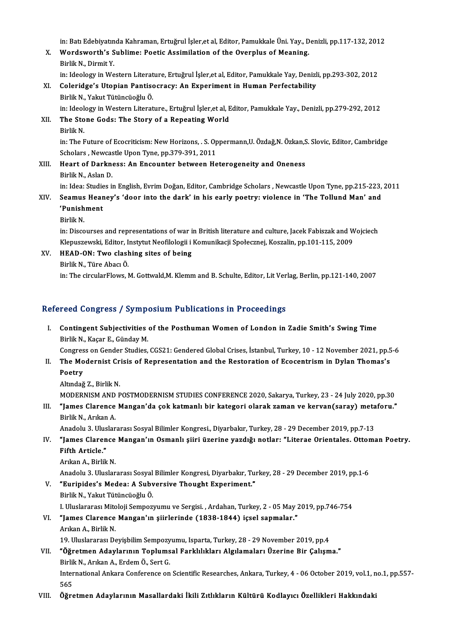in: Batı Edebiyatında Kahraman, Ertuğrul İşler,et al, Editor, Pamukkale Üni. Yay., Denizli, pp.117-132, 2012<br>Wardawarth'e Sublima: Poetis Assimilation of the Qyarnlus of Meaning

- in: Batı Edebiyatında Kahraman, Ertuğrul İşler,et al, Editor, Pamukkale Üni. Yay., D<br>X. Wordsworth's Sublime: Poetic Assimilation of the Overplus of Meaning.<br>Riylik N. Dismit V. in: Batı Edebiyatın<br>Wordsworth's S<br>Birlik N., Dirmit Y.<br>in: Ideelegy in We Wordsworth's Sublime: Poetic Assimilation of the Overplus of Meaning.<br>Birlik N., Dirmit Y.<br>in: Ideology in Western Literature, Ertuğrul İşler,et al, Editor, Pamukkale Yay, Denizli, pp.293-302, 2012<br>Colonidge's Utanian Bant Birlik N., Dirmit Y.<br>in: Ideology in Western Literature, Ertuğrul İşler,et al, Editor, Pamukkale Yay, Denizl<br>XI. Coleridge's Utopian Pantisocracy: An Experiment in Human Perfectability<br>Birlik N., Yakut Tütüncüoğlu Ö.
- in: Ideology in Western Literat<br>Coleridge's Utopian Pantiso<br>Birlik N., Yakut Tütüncüoğlu Ö.<br>in: Ideology in Western Literat Coleridge's Utopian Pantisocracy: An Experiment in Human Perfectability<br>Birlik N., Yakut Tütüncüoğlu Ö.<br>in: Ideology in Western Literature., Ertuğrul İşler,et al, Editor, Pamukkale Yay., Denizli, pp.279-292, 2012<br>The Stene
- XII. The Stone Gods: The Story of a Repeating World<br>Birlik N. in: Ideol<br><mark>The Sto</mark><br>Birlik N.<br>in: The E The Stone Gods: The Story of a Repeating World<br>Birlik N.<br>in: The Future of Ecocriticism: New Horizons, . S. Oppermann,U. Özdağ,N. Özkan,S. Slovic, Editor, Cambridge<br>Scholars, Naucestle Unen Type, nn 379-391-2011

Birlik N.<br>in: The Future of Ecocriticism: New Horizons, . S. Op<br>Scholars , Newcastle Upon Tyne, pp.379-391, 2011<br>Heart of Darkness: An Encounter between Ho in: The Future of Ecocriticism: New Horizons, . S. Oppermann,U. Özdağ,N. Özkan,S<br>Scholars , Newcastle Upon Tyne, pp.379-391, 2011<br>XIII. Heart of Darkness: An Encounter between Heterogeneity and Oneness

Scholars , Newcastle Upon Tyne, pp.379-391, 2011<br>XIII. Heart of Darkness: An Encounter between Heterogeneity and Oneness<br>Birlik N., Aslan D. Heart of Darkness: An Encounter between Heterogeneity and Oneness<br>Birlik N., Aslan D.<br>in: Idea: Studies in English, Evrim Doğan, Editor, Cambridge Scholars , Newcastle Upon Tyne, pp.215-223, 2011<br>Seamus Heaney's (door into

- Birlik N., Aslan D.<br>in: Idea: Studies in English, Evrim Doğan, Editor, Cambridge Scholars , Newcastle Upon Tyne, pp.215-223,<br>XIV. Seamus Heaney's 'door into the dark' in his early poetry: violence in 'The Tollund Man' an in: Idea: Studie<br>Seamus Hear<br>'Punishment<br><sup>Pirlik N</sup> XIV. Seamus Heaney's 'door into the dark' in his early poetry: violence in 'The Tollund Man' and 'Punishment<br>'Punishment<br>Birlik N.
	-

in: Discourses and representations of war in British literature and culture, Jacek Fabiszak and Wojciech Birlik N.<br>in: Discourses and representations of war in British literature and culture, Jacek Fabiszak and W.<br>Klepuszewski, Editor, Instytut Neofilologii i Komunikacji Społecznej, Koszalin, pp.101-115, 2009<br>HEAD, ON: Two sl Klepuszewski, Editor, I.<br>HEAD-ON: Two clash<br>Birlik N., Türe Abacı Ö.<br>in: The circularFlows

XV. HEAD-ON: Two clashing sites of being

in: The circularFlows, M. Gottwald, M. Klemm and B. Schulte, Editor, Lit Verlag, Berlin, pp.121-140, 2007

## Refereed Congress / Symposium Publications in Proceedings

efereed Congress / Symposium Publications in Proceedings<br>I. Contingent Subjectivities of the Posthuman Women of London in Zadie Smith's Swing Time Food Gongross 7 by mp.<br>Contingent Subjectivities<br>Birlik N., Kaçar E., Günday M. Contingent Subjectivities of the Posthuman Women of London in Zadie Smith's Swing Time<br>Birlik N., Kaçar E., Günday M.<br>Congress on Gender Studies, CGS21: Gendered Global Crises, İstanbul, Turkey, 10 - 12 November 2021, pp.5

- Birlik N., Kaçar E., Günday M.<br>Congress on Gender Studies, CGS21: Gendered Global Crises, İstanbul, Turkey, 10 12 November 2021, pp.5<br>II. The Modernist Crisis of Representation and the Restoration of Ecocentrism in D Congres<br>The Mo<br>Poetry The Modernist Cr<br>Poetry<br>Altındağ Z., Birlik N.<br>MODERNISM AND B Poetry<br>Altındağ Z., Birlik N.<br>MODERNISM AND POSTMODERNISM STUDIES CONFERENCE 2020, Sakarya, Turkey, 23 - 24 July 2020, pp.30<br>"James Glanense Mangan'da sak katmanlı bir katagani alanak zaman ve kanyan(sanayı) matafanıı "
	-

Altındağ Z., Birlik N.<br>MODERNISM AND POSTMODERNISM STUDIES CONFERENCE 2020, Sakarya, Turkey, 23 - 24 July 2020, pp.30<br>III. "James Clarence Mangan'da çok katmanlı bir kategori olarak zaman ve kervan(saray) metaforu."<br>Birlik MODERNISM AND<br>**"James Clarence**<br>Birlik N., Arıkan A.<br>Anadelu 2. Uluelar "James Clarence Mangan'da çok katmanlı bir kategori olarak zaman ve kervan(saray) meta<br>Birlik N., Arıkan A.<br>Anadolu 3. Uluslararası Sosyal Bilimler Kongresi., Diyarbakır, Turkey, 28 - 29 December 2019, pp.7-13<br>"James Clare

- Birlik N., Arıkan A.<br>Anadolu 3. Uluslararası Sosyal Bilimler Kongresi., Diyarbakır, Turkey, 28 29 December 2019, pp.7-13<br>IV. "James Clarence Mangan'ın Osmanlı şiiri üzerine yazdığı notlar: "Literae Orientales. Ottoma Anadolu 3. Ulus<br>**"James Claren"**<br>Fifth Article."<br>Article." **"James Clarence"**<br>Fifth Article."<br>Arıkan A., Birlik N.<br>Anadolu 2. Uluslar Fifth Article."<br>Arıkan A., Birlik N.<br>Anadolu 3. Uluslararası Sosyal Bilimler Kongresi, Diyarbakır, Turkey, 28 - 29 December 2019, pp.1-6
	-

Arıkan A., Birlik N.<br>Anadolu 3. Uluslararası Sosyal Bilimler Kongresi, Diyarbakır, Tu:<br>V. "Euripides's Medea: A Subversive Thought Experiment."<br>Rirlik N. Valut Tütüngüeğlu Ö. Anadolu 3. Uluslararası Sosyal<br>**"Euripides's Medea: A Subv<br>Birlik N., Yakut Tütüncüoğlu Ö.**<br>L Uluslararası Mitoleji Semneri Birlik N., Yakut Tütüncüoğlu Ö.<br>I. Uluslararası Mitoloji Sempozyumu ve Sergisi. , Ardahan, Turkey, 2 - 05 May 2019, pp.746-754 Birlik N., Yakut Tütüncüoğlu Ö.<br>I. Uluslararası Mitoloji Sempozyumu ve Sergisi. , Ardahan, Turkey, 2 - 05 May 2<br>VI. "James Clarence Mangan'ın şiirlerinde (1838-1844) içsel sapmalar."

# I. Uluslararası Mito<br>**"James Clarence**<br>Arıkan A., Birlik N.<br>10. Uluslararası De 19. Uluslararası Deyişbilim Sempozyumu, Isparta, Turkey, 28 - 29 November 2019, pp.4

Arıkan A., Birlik N.<br>19. Uluslararası Deyişbilim Sempozyumu, Isparta, Turkey, 28 - 29 November 2019, pp.4<br>VII. "Öğretmen Adaylarının Toplumsal Farklılıkları Algılamaları Üzerine Bir Çalışma."<br>Pirlik N. Arıkan A. Erdem Ö. S 19. Uluslararası Deyişbilim Sempozy<br>**"Öğretmen Adaylarının Toplums**<br>Birlik N., Arıkan A., Erdem Ö., Sert G.<br>International Ankare Conference on **"Öğretmen Adaylarının Toplumsal Farklılıkları Algılamaları Üzerine Bir Çalışma."**<br>Birlik N., Arıkan A., Erdem Ö., Sert G.<br>International Ankara Conference on Scientific Researches, Ankara, Turkey, 4 - 06 October 2019, vol. Birlil<br>Inter<br>565<br>Ö<del>ğn</del>e International Ankara Conference on Scientific Researches, Ankara, Turkey, 4 - 06 October 2019, vol.1, n<br>565<br>VIII. Öğretmen Adaylarının Masallardaki İkili Zıtlıkların Kültürü Kodlayıcı Özellikleri Hakkındaki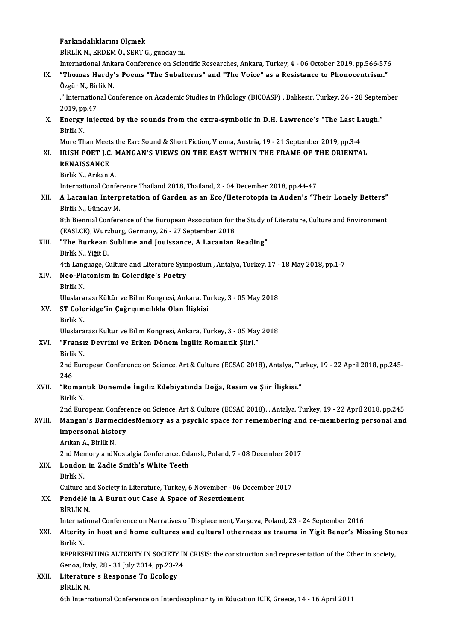|        | Farkındalıklarını Ölçmek                                                                                                                                        |
|--------|-----------------------------------------------------------------------------------------------------------------------------------------------------------------|
|        | BİRLİK N., ERDEM Ö., SERT G., gunday m.                                                                                                                         |
|        | International Ankara Conference on Scientific Researches, Ankara, Turkey, 4 - 06 October 2019, pp.566-576                                                       |
| IX.    | "Thomas Hardy's Poems "The Subalterns" and "The Voice" as a Resistance to Phonocentrism."<br>Özgür N, Birlik N.                                                 |
|        | ." International Conference on Academic Studies in Philology (BICOASP), Balıkesir, Turkey, 26 - 28 September<br>2019, pp 47                                     |
| Х.     | Energy injected by the sounds from the extra-symbolic in D.H. Lawrence's "The Last Laugh."<br>Birlik N.                                                         |
|        | More Than Meets the Ear: Sound & Short Fiction, Vienna, Austria, 19 - 21 September 2019, pp.3-4                                                                 |
| XI.    | IRISH POET J.C. MANGAN'S VIEWS ON THE EAST WITHIN THE FRAME OF THE ORIENTAL                                                                                     |
|        | <b>RENAISSANCE</b>                                                                                                                                              |
|        | Birlik N., Arıkan A.                                                                                                                                            |
|        | International Conference Thailand 2018, Thailand, 2 - 04 December 2018, pp.44-47                                                                                |
| XII.   | A Lacanian Interpretation of Garden as an Eco/Heterotopia in Auden's "Their Lonely Betters"<br>Birlik N., Günday M.                                             |
|        | 8th Biennial Conference of the European Association for the Study of Literature, Culture and Environment<br>(EASLCE), Würzburg, Germany, 26 - 27 September 2018 |
| XIII.  | "The Burkean Sublime and Jouissance, A Lacanian Reading"<br>Birlik N., Yiğit B                                                                                  |
|        | 4th Language, Culture and Literature Symposium, Antalya, Turkey, 17 - 18 May 2018, pp.1-7                                                                       |
| XIV.   | Neo-Platonism in Colerdige's Poetry                                                                                                                             |
|        | Birlik N.                                                                                                                                                       |
|        | Uluslararası Kültür ve Bilim Kongresi, Ankara, Turkey, 3 - 05 May 2018                                                                                          |
| XV.    | ST Coleridge'in Çağrışımcılıkla Olan İlişkisi                                                                                                                   |
|        | Birlik N.                                                                                                                                                       |
|        | Uluslararası Kültür ve Bilim Kongresi, Ankara, Turkey, 3 - 05 May 2018                                                                                          |
| XVI.   | "Fransız Devrimi ve Erken Dönem İngiliz Romantik Şiiri."<br>Birlik N                                                                                            |
|        | 2nd European Conference on Science, Art & Culture (ECSAC 2018), Antalya, Turkey, 19 - 22 April 2018, pp.245-<br>246                                             |
| XVII.  | "Romantik Dönemde İngiliz Edebiyatında Doğa, Resim ve Şiir İlişkisi."<br>Birlik N                                                                               |
|        | 2nd European Conference on Science, Art & Culture (ECSAC 2018), , Antalya, Turkey, 19 - 22 April 2018, pp.245                                                   |
| XVIII. | Mangan's BarmecidesMemory as a psychic space for remembering and re-membering personal and<br>impersonal history                                                |
|        | Arıkan A., Birlik N.                                                                                                                                            |
|        | 2nd Memory and Nostalgia Conference, Gdansk, Poland, 7 - 08 December 2017                                                                                       |
| XIX.   | London in Zadie Smith's White Teeth                                                                                                                             |
|        | Birlik N<br>Culture and Society in Literature, Turkey, 6 November - 06 December 2017                                                                            |
| XX.    | Pendélé in A Burnt out Case A Space of Resettlement                                                                                                             |
|        | <b>BİRLİK N.</b>                                                                                                                                                |
|        | International Conference on Narratives of Displacement, Varşova, Poland, 23 - 24 September 2016                                                                 |
| XXI.   | Alterity in host and home cultures and cultural otherness as trauma in Yigit Bener's Missing Stones<br>Birlik N                                                 |
|        | REPRESENTING ALTERITY IN SOCIETY IN CRISIS: the construction and representation of the Other in society,                                                        |
|        | Genoa, Italy, 28 - 31 July 2014, pp 23-24                                                                                                                       |
| XXII.  | Literature s Response To Ecology                                                                                                                                |
|        | <b>BİRLİK N.</b>                                                                                                                                                |
|        | 6th International Conference on Interdisciplinarity in Education ICIE, Greece, 14 - 16 April 2011                                                               |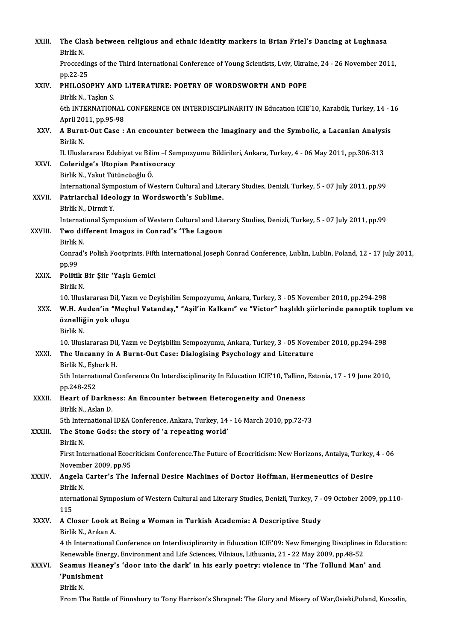| XXIII.       | The Clash between religious and ethnic identity markers in Brian Friel's Dancing at Lughnasa<br>Birlik N.                                                                                                                                             |
|--------------|-------------------------------------------------------------------------------------------------------------------------------------------------------------------------------------------------------------------------------------------------------|
|              | Proccedings of the Third International Conference of Young Scientists, Lviv, Ukraine, 24 - 26 November 2011,<br>pp 22-25                                                                                                                              |
| XXIV.        | PHILOSOPHY AND LITERATURE: POETRY OF WORDSWORTH AND POPE<br>Birlik N, Taşkın S.                                                                                                                                                                       |
|              | 6th INTERNATIONAL CONFERENCE ON INTERDISCIPLINARITY IN Education ICIE'10, Karabük, Turkey, 14 - 16<br>April 2011, pp 95-98                                                                                                                            |
| XXV.         | A Burnt-Out Case : An encounter between the Imaginary and the Symbolic, a Lacanian Analysis<br>Birlik N.                                                                                                                                              |
| XXVI.        | II. Uluslararası Edebiyat ve Bilim -I Sempozyumu Bildirileri, Ankara, Turkey, 4 - 06 May 2011, pp.306-313<br>Coleridge's Utopian Pantisocracy                                                                                                         |
|              | Birlik N., Yakut Tütüncüoğlu Ö.<br>International Symposium of Western Cultural and Literary Studies, Denizli, Turkey, 5 - 07 July 2011, pp.99                                                                                                         |
| XXVII.       | Patriarchal Ideology in Wordsworth's Sublime.<br>Birlik N., Dirmit Y.                                                                                                                                                                                 |
| XXVIII.      | International Symposium of Western Cultural and Literary Studies, Denizli, Turkey, 5 - 07 July 2011, pp.99<br>Two different Imagos in Conrad's 'The Lagoon                                                                                            |
|              | Birlik N<br>Conrad's Polish Footprints. Fifth International Joseph Conrad Conference, Lublin, Lublin, Poland, 12 - 17 July 2011,<br>pp.99                                                                                                             |
| XXIX.        | Politik Bir Şiir 'Yaşlı Gemici<br>Birlik N.                                                                                                                                                                                                           |
| XXX.         | 10. Uluslararası Dil, Yazın ve Deyişbilim Sempozyumu, Ankara, Turkey, 3 - 05 November 2010, pp.294-298<br>W.H. Auden'in "Meçhul Vatandaş," "Aşil'in Kalkanı" ve "Victor" başlıklı şiirlerinde panoptik toplum ve<br>öznelliğin yok oluşu<br>Birlik N. |
| <b>XXXI</b>  | 10. Uluslararası Dil, Yazın ve Deyişbilim Sempozyumu, Ankara, Turkey, 3 - 05 November 2010, pp.294-298<br>The Uncanny in A Burnt-Out Case: Dialogising Psychology and Literature<br>Birlik N., Esberk H.                                              |
|              | 5th International Conference On Interdisciplinarity In Education ICIE'10, Tallinn, Estonia, 17 - 19 June 2010,<br>pp 248-252                                                                                                                          |
| XXXII.       | Heart of Darkness: An Encounter between Heterogeneity and Oneness<br>Birlik N., Aslan D.                                                                                                                                                              |
| XXXIII.      | 5th International IDEA Conference, Ankara, Turkey, 14 - 16 March 2010, pp.72-73<br>The Stone Gods: the story of 'a repeating world'<br>Birlik N.                                                                                                      |
|              | First International Ecocriticism Conference. The Future of Ecocriticism: New Horizons, Antalya, Turkey, 4 - 06<br>November 2009, pp.95                                                                                                                |
| <b>XXXIV</b> | Angela Carter's The Infernal Desire Machines of Doctor Hoffman, Hermeneutics of Desire<br>Birlik N                                                                                                                                                    |
|              | nternational Symposium of Western Cultural and Literary Studies, Denizli, Turkey, 7 - 09 October 2009, pp.110-<br>115                                                                                                                                 |
| <b>XXXV</b>  | A Closer Look at Being a Woman in Turkish Academia: A Descriptive Study<br>Birlik N., Arıkan A.                                                                                                                                                       |
|              | 4 th International Conference on Interdisciplinarity in Education ICIE'09: New Emerging Disciplines in Education:<br>Renewable Energy, Environment and Life Sciences, Vilniaus, Lithuania, 21 - 22 May 2009, pp.48-52                                 |
| XXXVI.       | Seamus Heaney's 'door into the dark' in his early poetry: violence in 'The Tollund Man' and<br>'Punishment<br>Birlik N                                                                                                                                |
|              | From The Battle of Finnsbury to Tony Harrison's Shrapnel: The Glory and Misery of War, Osieki, Poland, Koszalin,                                                                                                                                      |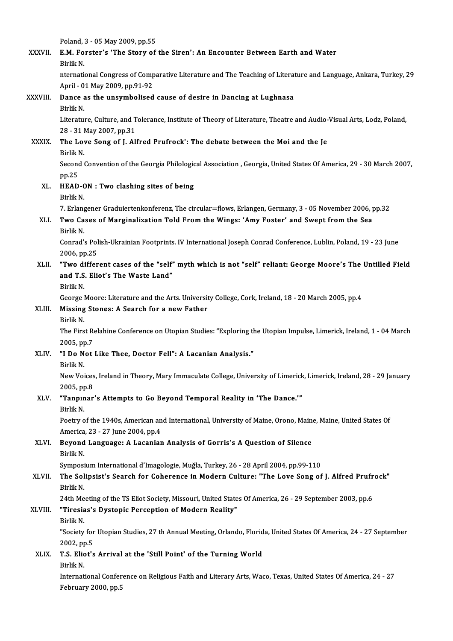Poland, 3 - 05 May 2009, pp.55<br>PM, Forstor's 'The Stery of

| XXXVII.      | Poland, 3 - 05 May 2009, pp.55<br>E.M. Forster's 'The Story of the Siren': An Encounter Between Earth and Water                                              |
|--------------|--------------------------------------------------------------------------------------------------------------------------------------------------------------|
|              | Birlik N.                                                                                                                                                    |
|              | nternational Congress of Comparative Literature and The Teaching of Literature and Language, Ankara, Turkey, 29                                              |
|              | April - 01 May 2009, pp 91-92                                                                                                                                |
| XXXVIII.     | Dance as the unsymbolised cause of desire in Dancing at Lughnasa                                                                                             |
|              | Birlik N.                                                                                                                                                    |
|              | Literature, Culture, and Tolerance, Institute of Theory of Literature, Theatre and Audio-Visual Arts, Lodz, Poland,                                          |
| <b>XXXIX</b> | 28 - 31 May 2007, pp 31<br>The Love Song of J. Alfred Prufrock': The debate between the Moi and the Je                                                       |
|              | Birlik N.                                                                                                                                                    |
|              | Second Convention of the Georgia Philological Association, Georgia, United States Of America, 29 - 30 March 2007,                                            |
|              | pp 25                                                                                                                                                        |
| XL.          | HEAD-ON : Two clashing sites of being                                                                                                                        |
|              | Birlik N.                                                                                                                                                    |
|              | 7. Erlangener Graduiertenkonferenz, The circular=flows, Erlangen, Germany, 3 - 05 November 2006, pp.32                                                       |
| XLI.         | Two Cases of Marginalization Told From the Wings: 'Amy Foster' and Swept from the Sea<br>Birlik N                                                            |
|              | Conrad's Polish-Ukrainian Footprints. IV International Joseph Conrad Conference, Lublin, Poland, 19 - 23 June                                                |
|              | 2006, pp.25                                                                                                                                                  |
| XLII.        | "Two different cases of the "self" myth which is not "self" reliant: George Moore's The Untilled Field                                                       |
|              | and T.S. Eliot's The Waste Land"                                                                                                                             |
|              | Birlik N.                                                                                                                                                    |
|              | George Moore: Literature and the Arts. University College, Cork, Ireland, 18 - 20 March 2005, pp.4                                                           |
| XLIII.       | Missing Stones: A Search for a new Father<br>Birlik N                                                                                                        |
|              | The First Relahine Conference on Utopian Studies: "Exploring the Utopian Impulse, Limerick, Ireland, 1 - 04 March                                            |
|              | 2005, pp.7                                                                                                                                                   |
| XLIV.        | "I Do Not Like Thee, Doctor Fell": A Lacanian Analysis."                                                                                                     |
|              | Birlik N                                                                                                                                                     |
|              | New Voices, Ireland in Theory, Mary Immaculate College, University of Limerick, Limerick, Ireland, 28 - 29 January                                           |
|              | 2005, pp.8                                                                                                                                                   |
| XLV.         | "Tanpinar's Attempts to Go Beyond Temporal Reality in 'The Dance.'"<br>Birlik N                                                                              |
|              | Poetry of the 1940s, American and International, University of Maine, Orono, Maine, Maine, United States Of                                                  |
|              | America, 23 - 27 June 2004, pp.4                                                                                                                             |
| XLVI.        | Beyond Language: A Lacanian Analysis of Gorris's A Question of Silence                                                                                       |
|              | Birlik N.                                                                                                                                                    |
|              | Symposium International d'Imagologie, Muğla, Turkey, 26 - 28 April 2004, pp.99-110                                                                           |
| XLVII.       | The Solipsist's Search for Coherence in Modern Culture: "The Love Song of J. Alfred Prufrock"                                                                |
|              | Birlik N                                                                                                                                                     |
| XLVIII.      | 24th Meeting of the TS Eliot Society, Missouri, United States Of America, 26 - 29 September 2003, pp.6<br>"Tiresias's Dystopic Perception of Modern Reality" |
|              | Birlik N.                                                                                                                                                    |
|              | "Society for Utopian Studies, 27 th Annual Meeting, Orlando, Florida, United States Of America, 24 - 27 September                                            |
|              | 2002, pp.5                                                                                                                                                   |
| XLIX.        | T.S. Eliot's Arrival at the 'Still Point' of the Turning World                                                                                               |
|              | Birlik N.                                                                                                                                                    |
|              | International Conference on Religious Faith and Literary Arts, Waco, Texas, United States Of America, 24 - 27                                                |
|              | February 2000, pp.5                                                                                                                                          |